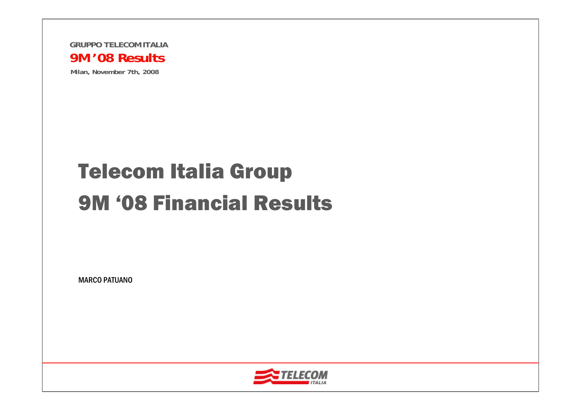

**Milan, November 7th, 2008**

## Telecom Italia Group 9M '08 Financial Results

MARCO PATUANO

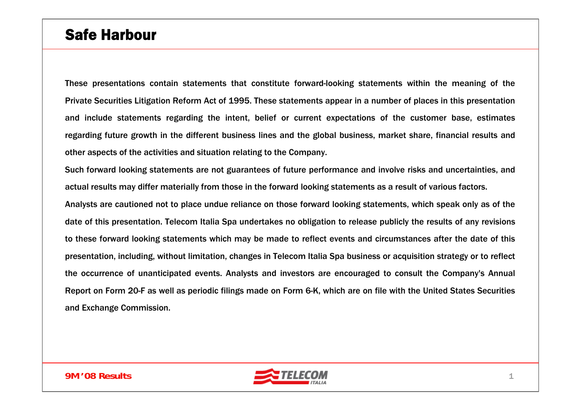### Safe Harbour

These presentations contain statements that constitute forward-looking statements within the meaning of the Private Securities Litigation Reform Act of 1995. These statements appear in a number of places in this presentation and include statements regarding the intent, belief or current expectations of the customer base, estimates regarding future growth in the different business lines and the global business, market share, financial results and other aspects of the activities and situation relating to the Company.

Such forward looking statements are not guarantees of future performance and involve risks and uncertainties, and actual results may differ materially from those in the forward looking statements as a result of various factors. Analysts are cautioned not to place undue reliance on those forward looking statements, which speak only as of the date of this presentation. Telecom Italia Spa undertakes no obligation to release publicly the results of any revisions to these forward looking statements which may be made to reflect events and circumstances after the date of this presentation, including, without limitation, changes in Telecom Italia Spa business or acquisition strategy or to reflect the occurrence of unanticipated events. Analysts and investors are encouraged to consult the Company's Annual Report on Form 20-F as well as periodic filings made on Form 6-K, which are on file with the United States Securities and Exchange Commission.

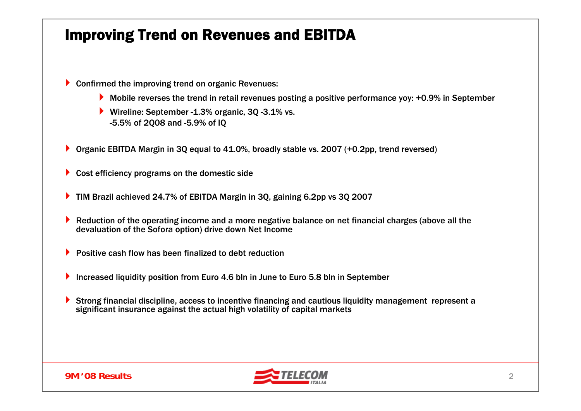### Improving Trend on Revenues and EBITDA

- **Confirmed the improving trend on organic Revenues:** 
	- Mobile reverses the trend in retail revenues posting a positive performance yoy: +0.9% in September
	- Wireline: September -1.3% organic, 3Q -3.1% vs. -5.5% of 2Q08 and -5.9% of IQ
- ▶ Organic EBITDA Margin in 3Q equal to 41.0%, broadly stable vs. 2007 (+0.2pp, trend reversed)
- ▶ Cost efficiency programs on the domestic side
- ▶ TIM Brazil achieved 24.7% of EBITDA Margin in 3Q, gaining 6.2pp vs 3Q 2007
- Þ. Reduction of the operating income and a more negative balance on net financial charges (above all the devaluation of the Sofora option) drive down Net Income
- **Positive cash flow has been finalized to debt reduction**
- Increased liquidity position from Euro 4.6 bln in June to Euro 5.8 bln in September
- $\blacktriangleright$  Strong financial discipline, access to incentive financing and cautious liquidity management represent a significant insurance against the actual high volatility of capital markets



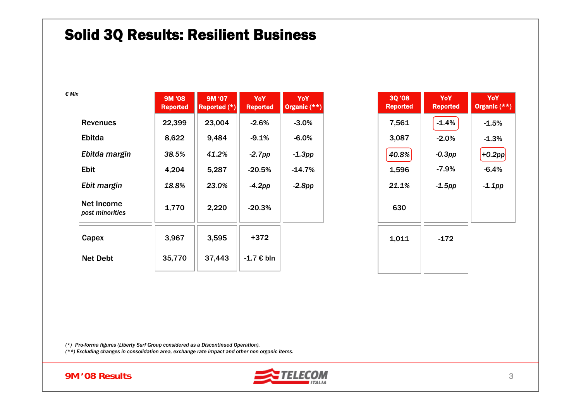#### Solid 3Q Results: Resilient Business

| € MIn                         | 9M '08<br><b>Reported</b> | 9M '07<br>Reported (*) | <b>YoY</b><br><b>Reported</b> | <b>YoY</b><br>Organic (**) |
|-------------------------------|---------------------------|------------------------|-------------------------------|----------------------------|
| <b>Revenues</b>               | 22,399                    | 23,004                 | $-2.6\%$                      | $-3.0\%$                   |
| Ebitda                        | 8,622                     | 9,484                  | $-9.1%$                       | $-6.0%$                    |
| Ebitda margin                 | 38.5%                     | 41.2%                  | $-2.7$ pp                     | $-1.3$ pp                  |
| <b>Ebit</b>                   | 4,204                     | 5,287                  | $-20.5%$                      | $-14.7\%$                  |
| Ebit margin                   | 18.8%                     | 23.0%                  | $-4.2$ pp                     | $-2.8pp$                   |
| Net Income<br>post minorities | 1,770                     | 2,220                  | $-20.3%$                      |                            |
| Capex                         | 3,967                     | 3,595                  | $+372$                        |                            |
| <b>Net Debt</b>               | 35,770                    | 37,443                 | -1.7 € bln                    |                            |

| <b>30 '08</b><br><b>Reported</b> | YoY<br>Reported | YoY<br>Organic $(**)$ |
|----------------------------------|-----------------|-----------------------|
| 7,561                            | $-1.4%$         | $-1.5%$               |
| 3,087                            | $-2.0%$         | $-1.3%$               |
| 40.8%                            | $-0.3$ pp       | $+0.2pp$              |
| 1,596                            | $-7.9%$         | $-6.4%$               |
| 21.1%                            | $-1.5$ pp       | $-1.1$ pp             |
| 630                              |                 |                       |
| 1,011                            | $-172$          |                       |
|                                  |                 |                       |

*(\*) Pro-forma figures (Liberty Surf Group considered as a Discontinued Operation).*

*(\*\*) Excluding changes in consolidation area, exchange rate impact and other non organic items.* 



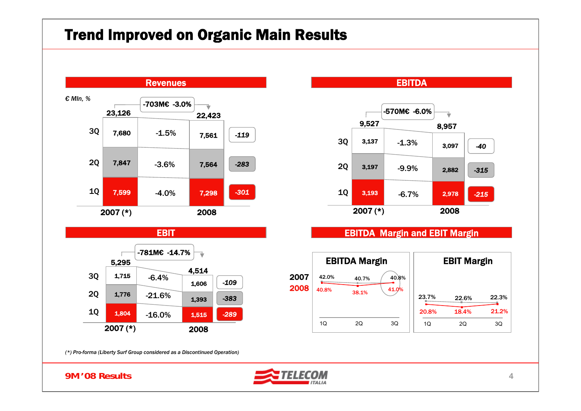#### Trend Improved on Organic Main Results





#### EBITDA Margin and EBIT Margin



*(\*) Pro-forma (Liberty Surf Group considered as a Discontinued Operation)*

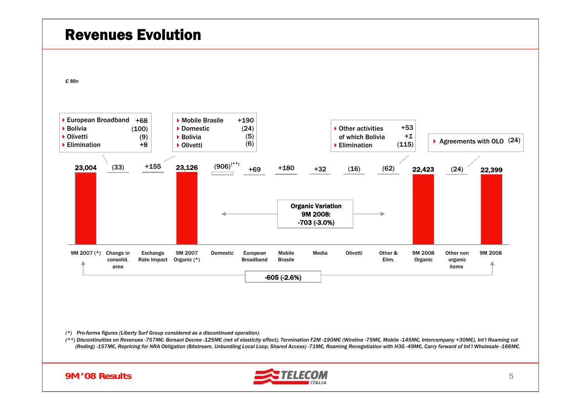

*(\*) Pro-forma figures (Liberty Surf Group considered as a discontinued operation).*

(\*\*) Discontinuities on Revenues -757M€: Bersani Decree -125M€ (net of elasticity effect), Termination F2M -190M€ (Wireline -75M€, Mobile -145M€, Intercompany +30M€), Int'l Roaming cut (Reding)-157M€, Repricing for NRA Obligation (Bitstream, Unbundling Local Loop, Shared Access)-71M€, Roaming Renegotiation with H3G-49M€, Carry forward of Int'l Wholesale -166M€.



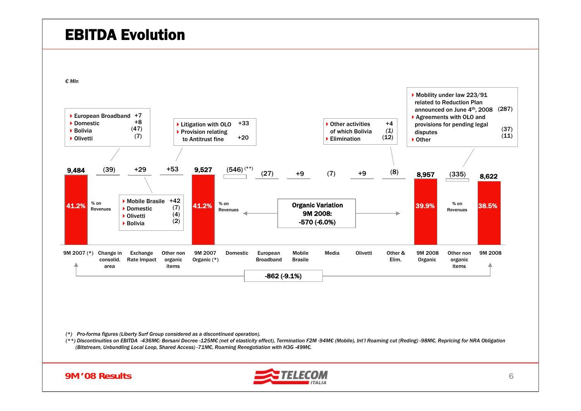#### EBITDA Evolution

*€ Mln*



*(\*) Pro-forma figures (Liberty Surf Group considered as a discontinued operation).*

(\*\*) Discontinuities on EBITDA -436M€: Bersani Decree -125M€ (net of elasticity effect), Termination F2M -94M€ (Mobile), Int'l Roaming cut (Reding) -98M€, Repricing for NRA Obligation *(Bitstream, Unbundling Local Loop, Shared Access) -71M€, Roaming Renegotiation with H3G -49M€.*

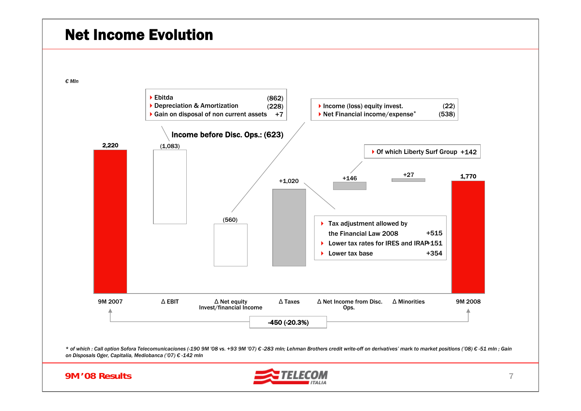#### Net Income Evolution

*€ Mln*





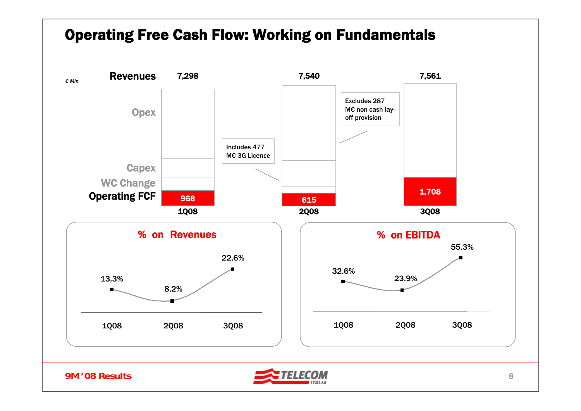#### Operating Free Cash Flow: Working on Fundamentals

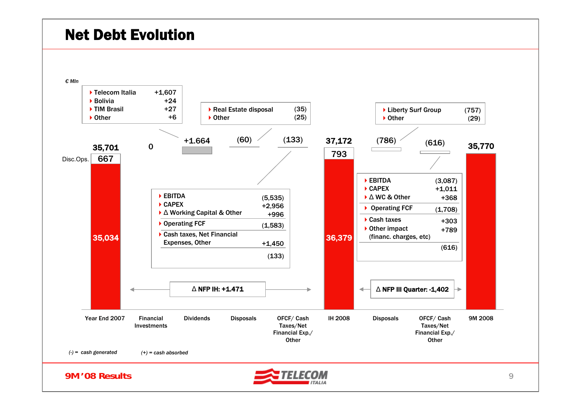#### Net Debt Evolution



9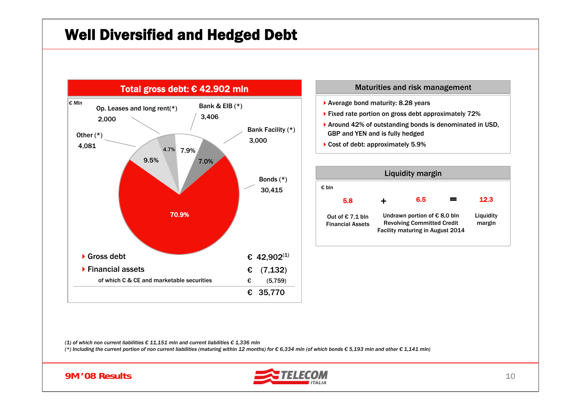### Well Diversified and Hedged Debt



#### Maturities and risk management

- ▶ Average bond maturity: 8.28 years
- ▶ Fixed rate portion on gross debt approximately 72%
- ▶ Around 42% of outstanding bonds is denominated in USD, GBP and YEN and is fully hedged
- ▶ Cost of debt: approximately 5.9%

|                                               |   | <b>Liquidity margin</b>                                                                                               |                     |
|-----------------------------------------------|---|-----------------------------------------------------------------------------------------------------------------------|---------------------|
| € bln                                         |   |                                                                                                                       |                     |
| 5.8                                           | ÷ | 6.5                                                                                                                   | 12.3                |
| Out of € $7.1$ bln<br><b>Financial Assets</b> |   | Undrawn portion of $\epsilon$ 8,0 bln<br><b>Revolving Committed Credit</b><br><b>Facility maturing in August 2014</b> | Liquidity<br>margin |

*(1) of which non current liabilities € 11,151 mln and current liabilities € 1,336 mln*

(\*) Including the current portion of non current liabilities (maturing within 12 months) for  $\epsilon$  6,334 mln (of which bonds  $\epsilon$  5,193 mln and other  $\epsilon$  1,141 mln)



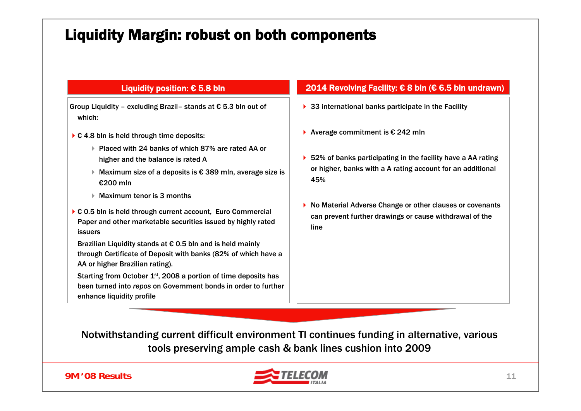### Liquidity Margin: robust on both components

Group Liquidity – excluding Brazil– stands at € 5.3 bln out of which:

- $\triangleright$   $\epsilon$  4.8 bln is held through time deposits:
	- Placed with 24 banks of which 87% are rated AA or higher and the balance is rated A
	- Maximum size of a deposits is € 389 mln, average size is €200 mln
	- Maximum tenor is 3 months
- € 0.5 bln is held through current account, Euro Commercial Paper and other marketable securities issued by highly rated issuers

Brazilian Liquidity stands at  $\epsilon$  0.5 bln and is held mainly through Certificate of Deposit with banks (82% of which have a AA or higher Brazilian rating).

Starting from October 1<sup>st</sup>, 2008 a portion of time deposits has been turned into *repos* on Government bonds in order to further enhance liquidity profile

#### Liquidity position: € 5.8 bln 2014 Revolving Facility: € 8 bln (€ 6.5 bln undrawn)

- ▶ 33 international banks participate in the Facility
- Average commitment is € 242 mln
- ▶ 52% of banks participating in the facility have a AA rating or higher, banks with a A rating account for an additional 45%
- ▶ No Material Adverse Change or other clauses or covenants can prevent further drawings or cause withdrawal of the line

Notwithstanding current difficult environment TI continues funding in alternative, various tools preserving ample cash & bank lines cushion into 2009

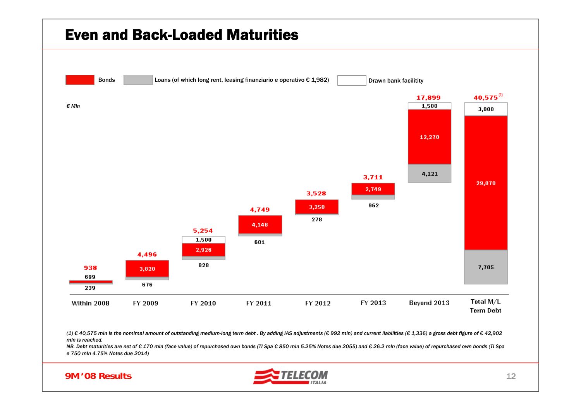

(1) € 40,575 mln is the nomimal amount of outstanding medium-long term debt. By adding IAS adjustments (€ 992 mln) and current liabilities (€ 1,336) a gross debt figure of € 42,902 *mln is reached.*

NB. Debt maturities are net of €170 mln (face value) of repurchased own bonds (TI Spa €850 mln 5.25% Notes due 2055) and €26.2 mln (face value) of repurchased own bonds (TI Spa *e 750 mln 4.75% Notes due 2014)*



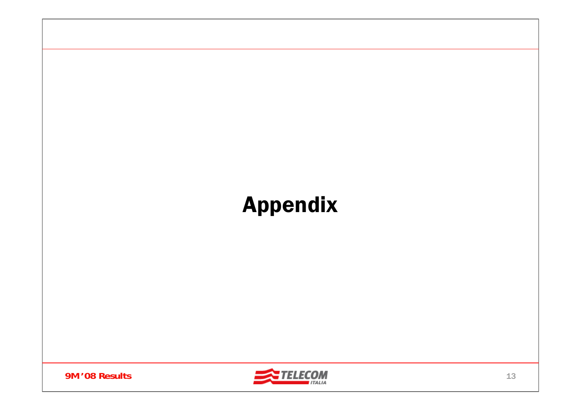# Appendix



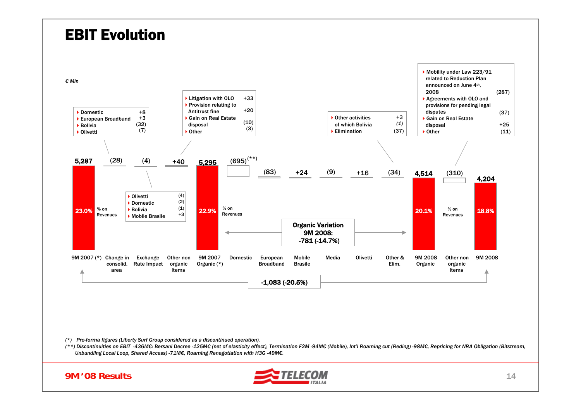#### EBIT Evolution





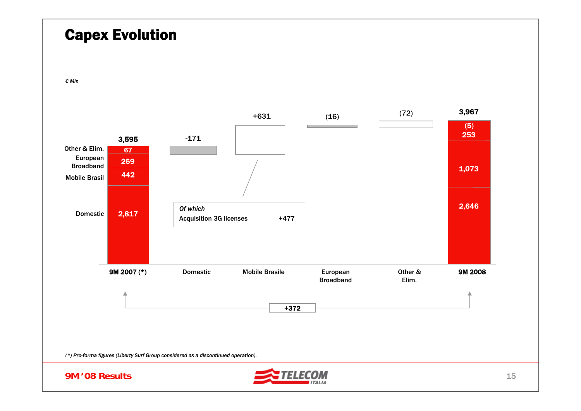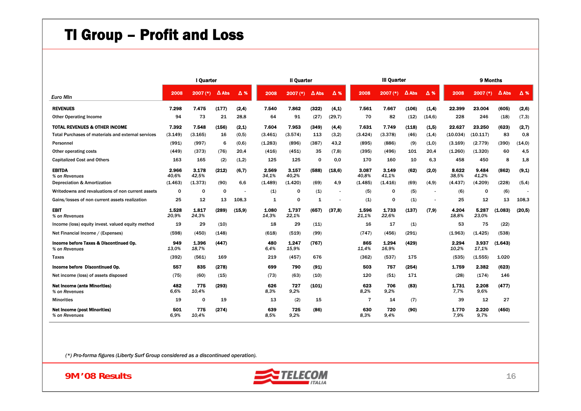## TI Group – Profit and Loss

|                                                         |                | I Quarter      |              | <b>Il Quarter</b> |                |                |                 |                          | <b>III Quarter</b> |                | 9 Months     |        |                |                |              |        |
|---------------------------------------------------------|----------------|----------------|--------------|-------------------|----------------|----------------|-----------------|--------------------------|--------------------|----------------|--------------|--------|----------------|----------------|--------------|--------|
| <b>Euro Min</b>                                         | 2008           | $2007$ (*)     | $\Delta$ Abs | Δ%                | 2008           | $2007$ (*)     | $\triangle$ Abs | Δ%                       | 2008               | $2007$ (*)     | $\Delta$ Abs | Δ%     | 2008           | $2007$ (*)     | $\Delta$ Abs | Δ%     |
| <b>REVENUES</b>                                         | 7.298          | 7.475          | (177)        | (2,4)             | 7.540          | 7.862          | (322)           | (4,1)                    | 7.561              | 7.667          | (106)        | (1,4)  | 22.399         | 23,004         | (605)        | (2,6)  |
| <b>Other Operating Income</b>                           | 94             | 73             | 21           | 28,8              | 64             | 91             | (27)            | (29,7)                   | 70                 | 82             | (12)         | (14,6) | 228            | 246            | (18)         | (7,3)  |
| <b>TOTAL REVENUES &amp; OTHER INCOME</b>                | 7.392          | 7.548          | (156)        | (2.1)             | 7.604          | 7.953          | (349)           | (4.4)                    | 7.631              | 7.749          | (118)        | (1.5)  | 22.627         | 23.250         | (623)        | (2,7)  |
| Total Purchases of materials and external services      | (3.149)        | (3.165)        | 16           | (0,5)             | (3.461)        | (3.574)        | 113             | (3,2)                    | (3.424)            | (3.378)        | (46)         | (1,4)  | (10.034)       | (10.117)       | 83           | 0,8    |
| Personnel                                               | (991)          | (997)          | 6            | (0,6)             | (1.283)        | (896)          | (387)           | 43,2                     | (895)              | (886)          | (9)          | (1,0)  | (3.169)        | (2.779)        | (390)        | (14,0) |
| Other operating costs                                   | (449)          | (373)          | (76)         | 20.4              | (416)          | (451)          | 35              | (7,8)                    | (395)              | (496)          | 101          | 20.4   | (1.260)        | (1.320)        | 60           | 4,5    |
| <b>Capitalized Cost and Others</b>                      | 163            | 165            | (2)          | (1,2)             | 125            | 125            | 0               | 0.0                      | 170                | 160            | 10           | 6.3    | 458            | 450            | 8            | 1,8    |
| <b>EBITDA</b><br>% on Revenues                          | 2.966<br>40.6% | 3.178<br>42,5% | (212)        | (6,7)             | 2.569<br>34,1% | 3.157<br>40,2% | (588)           | (18,6)                   | 3.087<br>40,8%     | 3.149<br>41,1% | (62)         | (2,0)  | 8.622<br>38,5% | 9.484<br>41,2% | (862)        | (9,1)  |
| Depreciation & Amortization                             | (1.463)        | (1.373)        | (90)         | 6,6               | (1.489)        | (1.420)        | (69)            | 4,9                      | (1.485)            | (1.416)        | (69)         | (4, 9) | (4.437)        | (4.209)        | (228)        | (5,4)  |
| Writedowns and revaluations of non current assets       | 0              | 0              | 0            |                   | (1)            | 0              | (1)             | $\overline{\phantom{a}}$ | (5)                | 0              | (5)          |        | (6)            | 0              | (6)          |        |
| Gains/losses of non current assets realization          | 25             | 12             | 13           | 108.3             | 1              | 0              | 1               |                          | (1)                | $\mathbf 0$    | (1)          |        | 25             | 12             | 13           | 108.3  |
| <b>EBIT</b><br>% on Revenues                            | 1.528<br>20.9% | 1.817<br>24.3% | (289)        | (15.9)            | 1.080<br>14.3% | 1.737<br>22.1% | (657)           | (37,8)                   | 1.596<br>21,1%     | 1.733<br>22.6% | (137)        | (7.9)  | 4.204<br>18,8% | 5.287<br>23,0% | (1.083)      | (20,5) |
| Income (loss) equity invest, valued equity method       | 19             | 29             | (10)         |                   | 18             | 29             | (11)            |                          | 16                 | 17             | (1)          |        | 53             | 75             | (22)         |        |
| Net Financial Income / (Expenses)                       | (598)          | (450)          | (148)        |                   | (618)          | (519)          | (99)            |                          | (747)              | (456)          | (291)        |        | (1.963)        | (1.425)        | (538)        |        |
| Income before Taxes & Discontinued Op.<br>% on Revenues | 949<br>13.0%   | 1.396<br>18.7% | (447)        |                   | 480<br>6.4%    | 1.247<br>15,9% | (767)           |                          | 865<br>11,4%       | 1.294<br>16.9% | (429)        |        | 2.294<br>10,2% | 3.937<br>17.1% | (1.643)      |        |
| Taxes                                                   | (392)          | (561)          | 169          |                   | 219            | (457)          | 676             |                          | (362)              | (537)          | 175          |        | (535)          | (1.555)        | 1.020        |        |
| Income before Discontinued Op.                          | 557            | 835            | (278)        |                   | 699            | 790            | (91)            |                          | 503                | 757            | (254)        |        | 1.759          | 2.382          | (623)        |        |
| Net income (loss) of assets disposed                    | (75)           | (60)           | (15)         |                   | (73)           | (63)           | (10)            |                          | 120                | (51)           | 171          |        | (28)           | (174)          | 146          |        |
| <b>Net Income (ante Minorities)</b><br>% on Revenues    | 482<br>6.6%    | 775<br>10.4%   | (293)        |                   | 626<br>8.3%    | 727<br>9.2%    | (101)           |                          | 623<br>8.2%        | 706<br>9,2%    | (83)         |        | 1.731<br>7.7%  | 2.208<br>9.6%  | (477)        |        |
| <b>Minorities</b>                                       | 19             | $\Omega$       | 19           |                   | 13             | (2)            | 15              |                          | $\overline{7}$     | 14             | (7)          |        | 39             | 12             | 27           |        |
| <b>Net Income (post Minorities)</b><br>% on Revenues    | 501<br>6.9%    | 775<br>10,4%   | (274)        |                   | 639<br>8.5%    | 725<br>9.2%    | (86)            |                          | 630<br>8.3%        | 720<br>9.4%    | (90)         |        | 1.770<br>7.9%  | 2.220<br>9.7%  | (450)        |        |

*(\*) Pro-forma figures (Liberty Surf Group considered as a discontinued operation).*

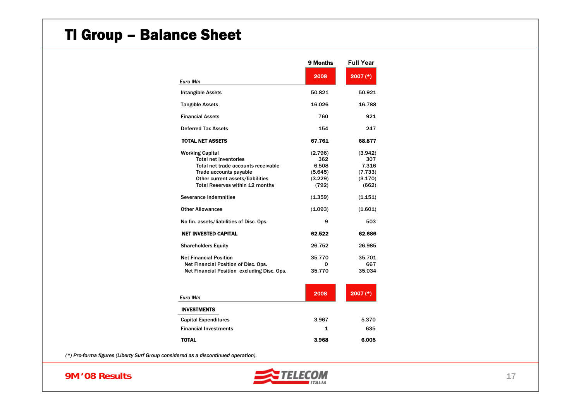### TI Group – Balance Sheet

|                                             | 9 Months | <b>Full Year</b> |
|---------------------------------------------|----------|------------------|
| <b>Euro Min</b>                             | 2008     | $2007$ (*)       |
| <b>Intangible Assets</b>                    | 50.821   | 50.921           |
| <b>Tangible Assets</b>                      | 16.026   | 16.788           |
| <b>Financial Assets</b>                     | 760      | 921              |
| <b>Deferred Tax Assets</b>                  | 154      | 247              |
| <b>TOTAL NET ASSETS</b>                     | 67.761   | 68.877           |
| <b>Working Capital</b>                      | (2.796)  | (3.942)          |
| <b>Total net inventories</b>                | 362      | 307              |
| Total net trade accounts receivable         | 6.508    | 7.316            |
| Trade accounts payable                      | (5.645)  | (7.733)          |
| Other current assets/liabilities            | (3.229)  | (3.170)          |
| <b>Total Reserves within 12 months</b>      | (792)    | (662)            |
| <b>Severance Indemnities</b>                | (1.359)  | (1.151)          |
| <b>Other Allowances</b>                     | (1.093)  | (1.601)          |
| No fin. assets/liabilities of Disc. Ops.    | 9        | 503              |
| <b>NET INVESTED CAPITAL</b>                 | 62.522   | 62.686           |
| <b>Shareholders Equity</b>                  | 26.752   | 26.985           |
| <b>Net Financial Position</b>               | 35.770   | 35.701           |
| Net Financial Position of Disc. Ops.        | 0        | 667              |
| Net Financial Position excluding Disc. Ops. | 35.770   | 35.034           |
| <b>Euro Min</b>                             | 2008     | $2007$ (*)       |
| <b>INVESTMENTS</b>                          |          |                  |
| <b>Capital Expenditures</b>                 | 3.967    | 5.370            |
| <b>Financial Investments</b>                | 1        | 635              |
| <b>TOTAL</b>                                | 3.968    | 6.005            |

*(\*) Pro-forma figures (Liberty Surf Group considered as a discontinued operation).*

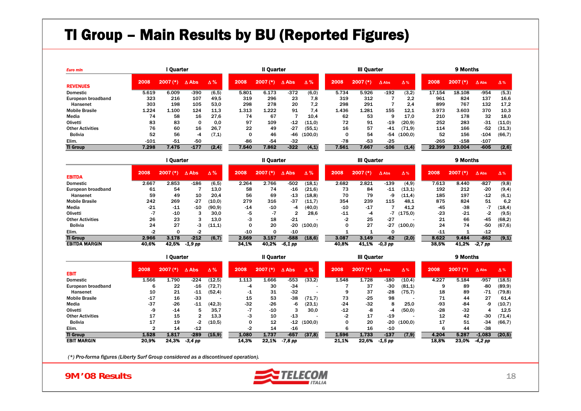### TI Group – Main Results by BU (Reported Figures)

| <b>Euro min</b>         | l Quarter |                |                 |            |       |               | <b>III Quarter</b> |            | 9 Months |                         |              |            |        |                         |              |            |
|-------------------------|-----------|----------------|-----------------|------------|-------|---------------|--------------------|------------|----------|-------------------------|--------------|------------|--------|-------------------------|--------------|------------|
| <b>REVENUES</b>         | 2008      | $7(*)$<br>2007 | $\triangle$ Abs | $\Delta\%$ | 2008  | 2007<br>$(*)$ | $\triangle$ Abs    | $\Delta\%$ | 2008     | 2007<br>$^{\prime}$ (*) | $\Delta$ Abs | $\Delta$ % | 2008   | 2007<br>$^{\prime}$ (*) | $\Delta$ Abs | $\Delta$ % |
| <b>Domestic</b>         | 5.619     | 6.009          | $-390$          | (6, 5)     | 5.801 | 6.173         | $-372$             | (6,0)      | 5.734    | 5.926                   | $-192$       | (3,2)      | 17.154 | 18.108                  | $-954$       | (5,3)      |
| European broadband      | 323       | 216            | 107             | 49.5       | 319   | 296           | 23                 | 7.8        | 319      | 312                     |              | 2.2        | 961    | 824                     | 137          | 16,6       |
| Hansenet                | 303       | 198            | 105             | 53.0       | 298   | 278           | 20                 | 7.2        | 298      | 291                     |              | 2.4        | 899    | 767                     | 132          | 17.2       |
| <b>Mobile Brasile</b>   | 1.224     | 1.100          | 124             | 11.3       | 1.313 | 1.222         | 91                 | 7.4        | 1.436    | 1.281                   | 155          | 12.1       | 3.973  | 3.603                   | 370          | 10,3       |
| Media                   | 74        | 58             | 16              | 27.6       | 74    | 67            |                    | 10,4       | 62       | 53                      | 9            | 17.0       | 210    | 178                     | 32           | 18,0       |
| Olivetti                | 83        | 83             | 0               | 0.0        | 97    | 109           | $-12$              | (11,0)     | 72       | 91                      | $-19$        | (20.9)     | 252    | 283                     | $-31$        | (11,0)     |
| <b>Other Activities</b> | 76        | 60             | 16              | 26.7       | 22    | 49            | $-27$              | (55, 1)    | 16       | 57                      | $-41$        | (71.9)     | 114    | 166                     | $-52$        | (31,3)     |
| <b>Bolivia</b>          | 52        | 56             | -4              | (7,1)      | 0     | 46            | -46                | (100.0)    |          | 54                      | -54          | (100.0)    | 52     | 156                     | $-104$       | (66, 7)    |
| Elim.                   | $-101$    | -51            | $-50$           |            | $-86$ | -54           | $-32$              |            | $-78$    | $-53$                   | $-25$        |            | $-265$ | $-158$                  | $-107$       |            |
| <b>TI Group</b>         | 7.298     | 7.475          | $-177$          | (2, 4)     | 7.540 | 7.862         | $-322$             | (4,1)      | 7.561    | 7.667                   | $-106$       | (1,4)      | 22.399 | 23.004                  | $-605$       | (2,6)      |

|                         |       | I Quarter               |                 |            |       |            | <b>III Quarter</b> |            |       | 9 Months   |              |             |       |            |              |            |
|-------------------------|-------|-------------------------|-----------------|------------|-------|------------|--------------------|------------|-------|------------|--------------|-------------|-------|------------|--------------|------------|
| <b>EBITDA</b>           | 2008  | 2007<br>$^{\prime}$ (*) | $\triangle$ Abs | $\Delta\%$ | 2008  | $2007$ (*) | Δ Abs              | $\Delta\%$ | 2008  | $2007$ (*) | $\Delta$ Abs | $\Delta$ %  | 2008  | $2007$ (*) | $\Delta$ Abs | $\Delta$ % |
| <b>Domestic</b>         | 2.667 | 2.853                   | $-186$          | (6, 5)     | 2.264 | 2.766      | $-502$             | (18,1)     | 2.682 | 2.821      | $-139$       | (4,9)       | 7.613 | 8.440      | $-827$       | (9,8)      |
| European broadband      | 61    | 54                      |                 | 13,0       | 58    | 74         | $-16$              | (21, 6)    | 73    | 84         | $-11$        | (13,1)      | 192   | 212        | $-20$        | (9,4)      |
| Hansenet                | 59    | 49                      | 10              | 20.4       | 56    | 69         | $-13$              | (18, 8)    | 70    | 79         | -9           | (11,4)      | 185   | 197        | $-12$        | (6,1)      |
| <b>Mobile Brasile</b>   | 242   | 269                     | $-27$           | (10,0)     | 279   | 316        | $-37$              | (11,7)     | 354   | 239        | 115          | 48.1        | 875   | 824        | 51           | 6.2        |
| Media                   | $-21$ | $-11$                   | $-10$           | (90.9)     | $-14$ | $-10$      | -4                 | (40,0)     | $-10$ | $-17$      |              | 41,2        | $-45$ | $-38$      | -7           | (18, 4)    |
| Olivetti                | -7    | $-10$                   | 3               | 30,0       | -5    | -7         | 2                  | 28,6       | $-11$ | -4         |              | $-7(175,0)$ | $-23$ | $-21$      | -2           | (9,5)      |
| <b>Other Activities</b> | 26    | 23                      | 3               | 13,0       | -3    | 18         | $-21$              |            | -2    | 25         | $-27$        |             | 21    | 66         | -45          | (68,2)     |
| <b>Bolivia</b>          | 24    | 27                      | -3              | (11,1)     |       | 20         | $-20$              | (100, 0)   |       | 27         | -27          | (100, 0)    | 24    | 74         | -50          | (67, 6)    |
| Elim.                   | -2    |                         | -2              |            | $-10$ | 0          | $-10$              |            |       |            | O            |             | $-11$ |            | $-12$        |            |
| <b>TI Group</b>         | 2.966 | 3.178                   | $-212$          | (6,7)      | 2.569 | 3.157      | $-588$             | (18,6)     | 3.087 | 3.149      | $-62$        | (2,0)       | 8.622 | 9.484      | $-862$       | (9,1)      |
| <b>EBITDA MARGIN</b>    | 40,6% | 42.5%                   | -1,9 pp         |            | 34,1% | 40.2%      | -6,1 pp            |            | 40.8% | 41.1%      | $-0.3$ pp    |             | 38,5% | 41.2%      | $-2,7$ pp    |            |

|                         |       | l Ouarter               |                 |            |                | II Quarter    |              |            |       | <b>III Quarter</b> |              |            |       | 9 Months   |              |            |
|-------------------------|-------|-------------------------|-----------------|------------|----------------|---------------|--------------|------------|-------|--------------------|--------------|------------|-------|------------|--------------|------------|
| <b>EBIT</b>             | 2008  | 2007<br>$^{\prime}$ (*) | $\triangle$ Abs | $\Delta\%$ | 2008           | 2007<br>$(*)$ | $\Delta$ Abs | $\Delta\%$ | 2008  | $2007$ $(*)$       | $\Delta$ Abs | $\Delta$ % | 2008  | $2007$ (*) | $\Delta$ Abs | $\Delta$ % |
| Domestic                | 1.566 | .790                    | $-224$          | (12.5)     | 1.113          | 1.666         | $-553$       | (33,2)     | 1.548 | 1.728              | $-180$       | (10, 4)    | 4.227 | 5.184      | $-957$       | (18, 5)    |
| European broadband      |       | 22                      | $-16$           | (72, 7)    | -4             | 30            | $-34$        |            |       | 37                 | $-30$        | (81,1)     |       | 89         | -80          | (89.9)     |
| Hansenet                | 10    | 21                      | $-11$           | (52, 4)    | -1             | 31            | $-32$        |            |       | 37                 | $-28$        | (75, 7)    | 18    | 89         | $-71$        | (79, 8)    |
| <b>Mobile Brasile</b>   | $-17$ | 16                      | $-33$           |            | 15             | 53            | $-38$        | (71,7)     | 73    | $-25$              | 98           |            |       | 44         | 27           | 61,4       |
| Media                   | $-37$ | $-26$                   | $-11$           | (42,3)     | -32            | $-26$         | -6           | (23,1)     | $-24$ | $-32$              | 8            | 25,0       | -93   | -84        | -9           | (10,7)     |
| Olivetti                | -9    | $-14$                   | 5               | 35,7       | $\blacksquare$ | $-10$         |              | 30,0       | $-12$ | -8                 | -4           | (50, 0)    | -28   | $-32$      |              | 12,5       |
| <b>Other Activities</b> | 17    | 15                      | 2               | 13.3       | -3             | 10            | $-13$        |            | -2    | 17                 | $-19$        |            | 12    | 42         | $-30$        | (71, 4)    |
| <b>Bolivia</b>          | 17    | 19                      | -2              | (10.5)     |                | 12            | $-12$        | (100, 0)   |       | 20                 | -20          | (100, 0)   | 17    | 51         | $-34$        | (66, 7)    |
| Elim.                   |       | 14                      | $-12$           |            | -2             | 14            | $-16$        |            | h     | 16                 | $-10$        |            |       | 44         | $-38$        |            |
| <b>TI Group</b>         | 1.528 | 1.817                   | $-289$          | (15, 9)    | 1.080          | 1.737         | $-657$       | (37, 8)    | 1.596 | 1.733              | $-137$       | (7, 9)     | 4.204 | 5.287      | $-1.083$     | (20,5)     |
| <b>EBIT MARGIN</b>      | 20,9% | 24.3%                   | $-3.4$ pp       |            | 14.3%          | 22,1%         | -7,8 pp      |            | 21.1% | 22,6%              | $-1.5$ pp    |            | 18,8% | 23.0%      | $-4.2$ pp    |            |

*(\*) Pro-forma figures (Liberty Surf Group considered as a discontinued operation).*